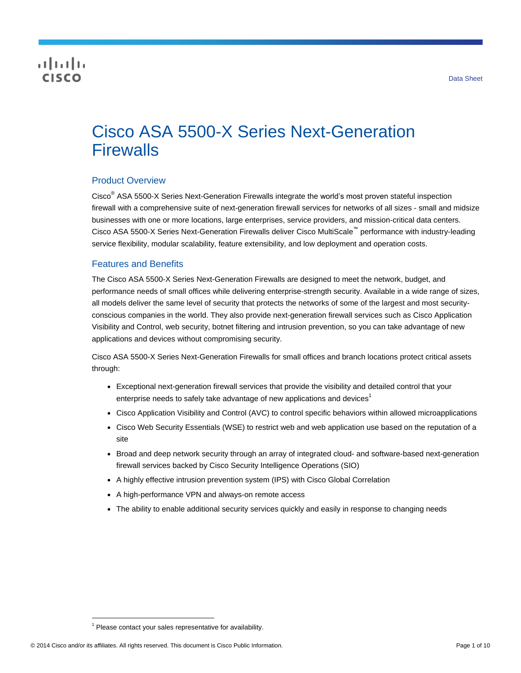## CISCO

# Cisco ASA 5500-X Series Next-Generation **Firewalls**

## Product Overview

Cisco® ASA 5500-X Series Next-Generation Firewalls integrate the world's most proven stateful inspection firewall with a comprehensive suite of next-generation firewall services for networks of all sizes - small and midsize businesses with one or more locations, large enterprises, service providers, and mission-critical data centers. Cisco ASA 5500-X Series Next-Generation Firewalls deliver Cisco MultiScale™ performance with industry-leading service flexibility, modular scalability, feature extensibility, and low deployment and operation costs.

## Features and Benefits

The Cisco ASA 5500-X Series Next-Generation Firewalls are designed to meet the network, budget, and performance needs of small offices while delivering enterprise-strength security. Available in a wide range of sizes, all models deliver the same level of security that protects the networks of some of the largest and most securityconscious companies in the world. They also provide next-generation firewall services such as Cisco Application Visibility and Control, web security, botnet filtering and intrusion prevention, so you can take advantage of new applications and devices without compromising security.

Cisco ASA 5500-X Series Next-Generation Firewalls for small offices and branch locations protect critical assets through:

- Exceptional next-generation firewall services that provide the visibility and detailed control that your enterprise needs to safely take advantage of new applications and devices<sup>1</sup>
- Cisco Application Visibility and Control (AVC) to control specific behaviors within allowed microapplications
- Cisco Web Security Essentials (WSE) to restrict web and web application use based on the reputation of a site
- Broad and deep network security through an array of integrated cloud- and software-based next-generation firewall services backed by Cisco Security Intelligence Operations (SIO)
- A highly effective intrusion prevention system (IPS) with Cisco Global Correlation
- A high-performance VPN and always-on remote access
- The ability to enable additional security services quickly and easily in response to changing needs

 $\overline{a}$ 

 $1$  Please contact your sales representative for availability.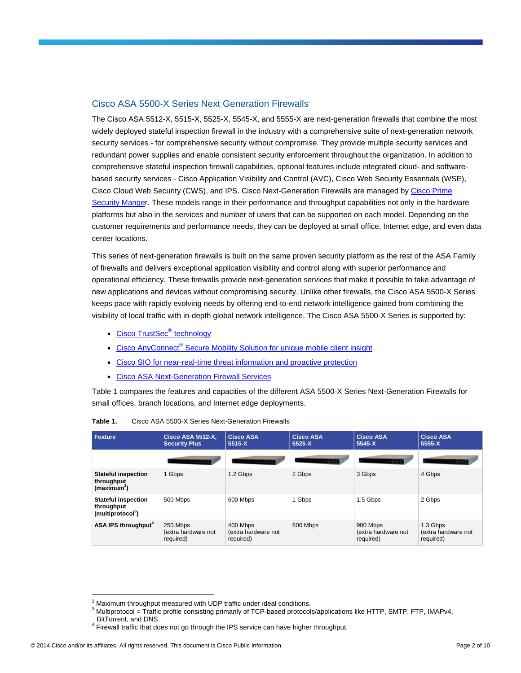## Cisco ASA 5500-X Series Next Generation Firewalls

The Cisco ASA 5512-X, 5515-X, 5525-X, 5545-X, and 5555-X are next-generation firewalls that combine the most widely deployed stateful inspection firewall in the industry with a comprehensive suite of next-generation network security services - for comprehensive security without compromise. They provide multiple security services and redundant power supplies and enable consistent security enforcement throughout the organization. In addition to comprehensive stateful inspection firewall capabilities, optional features include integrated cloud- and softwarebased security services - Cisco Application Visibility and Control (AVC), Cisco Web Security Essentials (WSE), Cisco Cloud Web Security (CWS), and IPS. Cisco Next-Generation Firewalls are managed by [Cisco Prime](http://www.cisco.com/go/prsm)  [Security Manger](http://www.cisco.com/go/prsm). These models range in their performance and throughput capabilities not only in the hardware platforms but also in the services and number of users that can be supported on each model. Depending on the customer requirements and performance needs, they can be deployed at small office, Internet edge, and even data center locations.

This series of next-generation firewalls is built on the same proven security platform as the rest of the ASA Family of firewalls and delivers exceptional application visibility and control along with superior performance and operational efficiency. These firewalls provide next-generation services that make it possible to take advantage of new applications and devices without compromising security. Unlike other firewalls, the Cisco ASA 5500-X Series keeps pace with rapidly evolving needs by offering end-to-end network intelligence gained from combining the visibility of local traffic with in-depth global network intelligence. The Cisco ASA 5500-X Series is supported by:

- [Cisco TrustSec](http://www.cisco.com/en/US/netsol/ns1051/index.html)<sup>®</sup> technology
- Cisco AnyConnect<sup>®</sup> [Secure Mobility Solution for unique mobile client insight](http://www.cisco.com/en/US/netsol/ns1049/index.html)
- [Cisco SIO for near-real-time threat information and proactive protection](http://tools.cisco.com/security/center/home.x)
- [Cisco ASA Next-Generation Firewall Services](http://www.cisco.com/en/US/partner/products/ps12521/index.html)

Table 1 compares the features and capacities of the different ASA 5500-X Series Next-Generation Firewalls for small offices, branch locations, and Internet edge deployments.

| Feature                                                                   | <b>Cisco ASA 5512-X,</b><br><b>Security Plus</b> | <b>Cisco ASA</b><br>$5515-X$                 | <b>Cisco ASA</b><br>$5525-X$ | <b>Cisco ASA</b><br>$5545-X$                 | <b>Cisco ASA</b><br>5555-X                   |
|---------------------------------------------------------------------------|--------------------------------------------------|----------------------------------------------|------------------------------|----------------------------------------------|----------------------------------------------|
|                                                                           |                                                  |                                              |                              |                                              |                                              |
| <b>Stateful inspection</b><br>throughput<br>(maximum <sup>2</sup> )       | 1 Gbps                                           | 1.2 Gbps                                     | 2 Gbps                       | 3 Gbps                                       | 4 Gbps                                       |
| <b>Stateful inspection</b><br>throughput<br>(multiprotocol <sup>3</sup> ) | 500 Mbps                                         | 600 Mbps                                     | 1 Gbps                       | 1.5 Gbps                                     | 2 Gbps                                       |
| ASA IPS throughput <sup>4</sup>                                           | 250 Mbps<br>(extra hardware not<br>required)     | 400 Mbps<br>(extra hardware not<br>required) | 600 Mbps                     | 900 Mbps<br>(extra hardware not<br>required) | 1.3 Gbps<br>(extra hardware not<br>required) |

| Table 1. | Cisco ASA 5500-X Series Next-Generation Firewalls |  |
|----------|---------------------------------------------------|--|
|          |                                                   |  |

 $\overline{a}$ 

 $2$  Maximum throughput measured with UDP traffic under ideal conditions.

 $3$  Multiprotocol = Traffic profile consisting primarily of TCP-based protocols/applications like HTTP, SMTP, FTP, IMAPv4,

BitTorrent, and DNS.

 $4$  Firewall traffic that does not go through the IPS service can have higher throughput.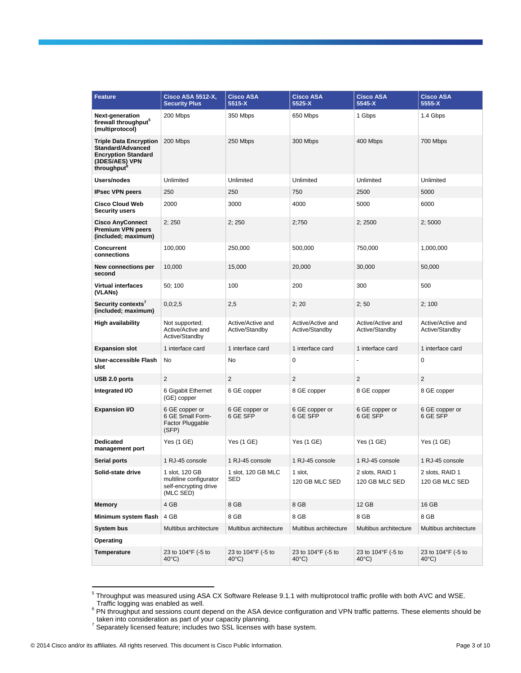| <b>Feature</b>                                                                                                                | <b>Cisco ASA 5512-X,</b><br><b>Security Plus</b>                               | <b>Cisco ASA</b><br>5515-X            | <b>Cisco ASA</b><br>5525-X            | <b>Cisco ASA</b><br>5545-X            | <b>Cisco ASA</b><br>5555-X            |
|-------------------------------------------------------------------------------------------------------------------------------|--------------------------------------------------------------------------------|---------------------------------------|---------------------------------------|---------------------------------------|---------------------------------------|
| Next-generation<br>firewall throughput <sup>3</sup><br>(multiprotocol)                                                        | 200 Mbps                                                                       | 350 Mbps                              | 650 Mbps                              | 1 Gbps                                | 1.4 Gbps                              |
| <b>Triple Data Encryption</b><br>Standard/Advanced<br><b>Encryption Standard</b><br>(3DES/AES) VPN<br>throughput <sup>o</sup> | 200 Mbps                                                                       | 250 Mbps                              | 300 Mbps                              | 400 Mbps                              | 700 Mbps                              |
| Users/nodes                                                                                                                   | Unlimited                                                                      | Unlimited                             | Unlimited                             | Unlimited                             | Unlimited                             |
| <b>IPsec VPN peers</b>                                                                                                        | 250                                                                            | 250                                   | 750                                   | 2500                                  | 5000                                  |
| <b>Cisco Cloud Web</b><br><b>Security users</b>                                                                               | 2000                                                                           | 3000                                  | 4000                                  | 5000                                  | 6000                                  |
| <b>Cisco AnyConnect</b><br><b>Premium VPN peers</b><br>(included; maximum)                                                    | 2;250                                                                          | 2;250                                 | 2;750                                 | 2;2500                                | 2;5000                                |
| <b>Concurrent</b><br>connections                                                                                              | 100,000                                                                        | 250,000                               | 500,000                               | 750,000                               | 1,000,000                             |
| New connections per<br>second                                                                                                 | 10,000                                                                         | 15,000                                | 20,000                                | 30,000                                | 50,000                                |
| <b>Virtual interfaces</b><br>(VLANs)                                                                                          | 50; 100                                                                        | 100                                   | 200                                   | 300                                   | 500                                   |
| Security contexts'<br>(included; maximum)                                                                                     | 0,0;2,5                                                                        | 2,5                                   | 2; 20                                 | 2;50                                  | 2;100                                 |
| High availability                                                                                                             | Not supported;<br>Active/Active and<br>Active/Standby                          | Active/Active and<br>Active/Standby   | Active/Active and<br>Active/Standby   | Active/Active and<br>Active/Standby   | Active/Active and<br>Active/Standby   |
| <b>Expansion slot</b>                                                                                                         | 1 interface card                                                               | 1 interface card                      | 1 interface card                      | 1 interface card                      | 1 interface card                      |
| User-accessible Flash<br>slot                                                                                                 | No                                                                             | No                                    | $\mathbf 0$                           |                                       | $\mathbf 0$                           |
| USB 2.0 ports                                                                                                                 | $\overline{2}$                                                                 | $\overline{2}$                        | $\overline{2}$                        | $\overline{2}$                        | $\overline{2}$                        |
| Integrated I/O                                                                                                                | 6 Gigabit Ethernet<br>(GE) copper                                              | 6 GE copper                           | 8 GE copper                           | 8 GE copper                           | 8 GE copper                           |
| <b>Expansion I/O</b>                                                                                                          | 6 GE copper or<br>6 GE Small Form-<br><b>Factor Pluggable</b><br>(SFP)         | 6 GE copper or<br>6 GE SFP            | 6 GE copper or<br>6 GE SFP            | 6 GE copper or<br>6 GE SFP            | 6 GE copper or<br>6 GE SFP            |
| <b>Dedicated</b><br>management port                                                                                           | Yes (1 GE)                                                                     | Yes (1 GE)                            | Yes (1 GE)                            | Yes (1 GE)                            | Yes (1 GE)                            |
| Serial ports                                                                                                                  | 1 RJ-45 console                                                                | 1 RJ-45 console                       | 1 RJ-45 console                       | 1 RJ-45 console                       | 1 RJ-45 console                       |
| Solid-state drive                                                                                                             | 1 slot, 120 GB<br>multiline configurator<br>self-encrypting drive<br>(MLC SED) | 1 slot, 120 GB MLC<br>SED             | 1 slot,<br>120 GB MLC SED             | 2 slots, RAID 1<br>120 GB MLC SED     | 2 slots, RAID 1<br>120 GB MLC SED     |
| Memory                                                                                                                        | 4 GB                                                                           | 8 GB                                  | 8 GB                                  | 12 GB                                 | 16 GB                                 |
| Minimum system flash                                                                                                          | 4 GB                                                                           | 8 GB                                  | 8 GB                                  | 8 GB                                  | 8 GB                                  |
| <b>System bus</b>                                                                                                             | Multibus architecture                                                          | Multibus architecture                 | Multibus architecture                 | Multibus architecture                 | Multibus architecture                 |
| Operating                                                                                                                     |                                                                                |                                       |                                       |                                       |                                       |
| Temperature                                                                                                                   | 23 to 104°F (-5 to<br>$40^{\circ}$ C)                                          | 23 to 104°F (-5 to<br>$40^{\circ}$ C) | 23 to 104°F (-5 to<br>$40^{\circ}$ C) | 23 to 104°F (-5 to<br>$40^{\circ}$ C) | 23 to 104°F (-5 to<br>$40^{\circ}$ C) |

 5 Throughput was measured using ASA CX Software Release 9.1.1 with multiprotocol traffic profile with both AVC and WSE.

Traffic logging was enabled as well.<br><sup>6</sup> PN throughput and sessions count depend on the ASA device configuration and VPN traffic patterns. These elements should be

\_taken into consideration as part of your capacity planning.<br><sup>7</sup> Separately licensed feature; includes two SSL licenses with base system.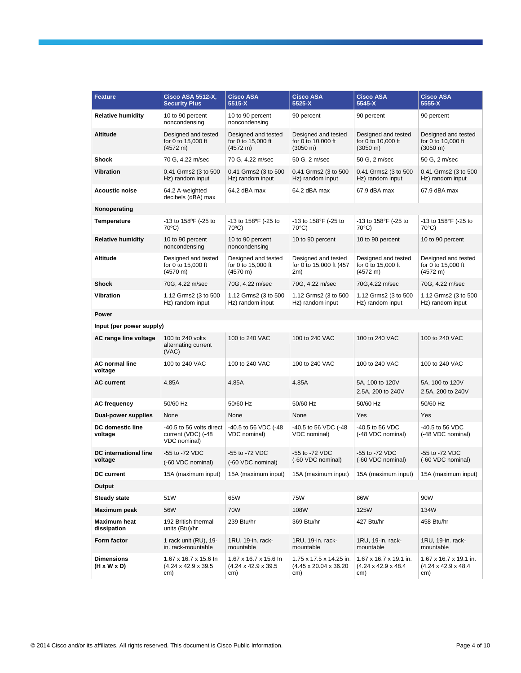| <b>Feature</b>                          | <u>Cisco ASA 5512-X,</u><br><b>Security Plus</b>                | <b>Cisco ASA</b><br>5515-X                                       | <b>Cisco ASA</b><br>5525-X                                           | <b>Cisco ASA</b><br>5545-X                                        | <b>Cisco ASA</b><br>5555-X                                        |
|-----------------------------------------|-----------------------------------------------------------------|------------------------------------------------------------------|----------------------------------------------------------------------|-------------------------------------------------------------------|-------------------------------------------------------------------|
| <b>Relative humidity</b>                | 10 to 90 percent<br>noncondensing                               | 10 to 90 percent<br>noncondensing                                | 90 percent                                                           | 90 percent                                                        | 90 percent                                                        |
| <b>Altitude</b>                         | Designed and tested<br>for 0 to 15,000 ft<br>(4572 m)           | Designed and tested<br>for 0 to 15,000 ft<br>(4572 m)            | Designed and tested<br>for 0 to 10,000 ft<br>$(3050 \text{ m})$      | Designed and tested<br>for 0 to 10,000 ft<br>$(3050 \text{ m})$   | Designed and tested<br>for 0 to 10,000 ft<br>$(3050 \; \text{m})$ |
| <b>Shock</b>                            | 70 G, 4.22 m/sec                                                | 70 G, 4.22 m/sec                                                 | 50 G, 2 m/sec                                                        | 50 G, 2 m/sec                                                     | 50 G, 2 m/sec                                                     |
| <b>Vibration</b>                        | 0.41 Grms2 (3 to 500<br>Hz) random input                        | 0.41 Grms2 (3 to 500<br>Hz) random input                         | 0.41 Grms2 (3 to 500<br>Hz) random input                             | 0.41 Grms2 (3 to 500<br>Hz) random input                          | 0.41 Grms2 (3 to 500<br>Hz) random input                          |
| <b>Acoustic noise</b>                   | 64.2 A-weighted<br>decibels (dBA) max                           | 64.2 dBA max                                                     | 64.2 dBA max                                                         | 67.9 dBA max                                                      | 67.9 dBA max                                                      |
| Nonoperating                            |                                                                 |                                                                  |                                                                      |                                                                   |                                                                   |
| <b>Temperature</b>                      | $-13$ to $158$ <sup>o</sup> F ( $-25$ to<br>$70^{\circ}$ C)     | -13 to 158°F (-25 to<br>70°C)                                    | -13 to 158°F (-25 to<br>70°C)                                        | $-13$ to $158^{\circ}$ F ( $-25$ to<br>$70^{\circ}$ C)            | -13 to 158°F (-25 to<br>$70^{\circ}$ C)                           |
| <b>Relative humidity</b>                | 10 to 90 percent<br>noncondensing                               | 10 to 90 percent<br>noncondensing                                | 10 to 90 percent                                                     | 10 to 90 percent                                                  | 10 to 90 percent                                                  |
| Altitude                                | Designed and tested<br>for 0 to 15,000 ft<br>(4570 m)           | Designed and tested<br>for 0 to 15,000 ft<br>(4570 m)            | Designed and tested<br>for 0 to 15,000 ft (457<br>2m)                | Designed and tested<br>for 0 to 15,000 ft<br>(4572 m)             | Designed and tested<br>for 0 to 15,000 ft<br>(4572 m)             |
| <b>Shock</b>                            | 70G, 4.22 m/sec                                                 | 70G, 4.22 m/sec                                                  | 70G, 4.22 m/sec                                                      | 70G, 4.22 m/sec                                                   | 70G, 4.22 m/sec                                                   |
| <b>Vibration</b>                        | 1.12 Grms2 (3 to 500<br>Hz) random input                        | 1.12 Grms2 (3 to 500<br>Hz) random input                         | 1.12 Grms2 (3 to 500<br>Hz) random input                             | 1.12 Grms2 (3 to 500<br>Hz) random input                          | 1.12 Grms2 (3 to 500<br>Hz) random input                          |
| Power                                   |                                                                 |                                                                  |                                                                      |                                                                   |                                                                   |
| Input (per power supply)                |                                                                 |                                                                  |                                                                      |                                                                   |                                                                   |
| AC range line voltage                   | 100 to 240 volts<br>alternating current<br>(VAC)                | 100 to 240 VAC                                                   | 100 to 240 VAC                                                       | 100 to 240 VAC                                                    | 100 to 240 VAC                                                    |
| <b>AC normal line</b><br>voltage        | 100 to 240 VAC                                                  | 100 to 240 VAC                                                   | 100 to 240 VAC                                                       | 100 to 240 VAC                                                    | 100 to 240 VAC                                                    |
| <b>AC current</b>                       | 4.85A                                                           | 4.85A                                                            | 4.85A                                                                | 5A, 100 to 120V<br>2.5A, 200 to 240V                              | 5A, 100 to 120V<br>2.5A, 200 to 240V                              |
| <b>AC frequency</b>                     | 50/60 Hz                                                        | 50/60 Hz                                                         | 50/60 Hz                                                             | 50/60 Hz                                                          | 50/60 Hz                                                          |
| Dual-power supplies                     | None                                                            | None                                                             | None                                                                 | Yes                                                               | Yes                                                               |
| DC domestic line<br>voltage             | -40.5 to 56 volts direct<br>current (VDC) (-48<br>VDC nominal)  | -40.5 to 56 VDC (-48<br>VDC nominal)                             | -40.5 to 56 VDC (-48<br>VDC nominal)                                 | -40.5 to 56 VDC<br>(-48 VDC nominal)                              | -40.5 to 56 VDC<br>(-48 VDC nominal)                              |
| <b>DC</b> international line<br>voltage | -55 to -72 VDC<br>(-60 VDC nominal)                             | -55 to -72 VDC<br>(-60 VDC nominal)                              | -55 to -72 VDC<br>(-60 VDC nominal)                                  | -55 to -72 VDC<br>(-60 VDC nominal)                               | -55 to -72 VDC<br>(-60 VDC nominal)                               |
| <b>DC</b> current                       | 15A (maximum input)                                             | 15A (maximum input)                                              | 15A (maximum input)                                                  | 15A (maximum input)                                               | 15A (maximum input)                                               |
| Output                                  |                                                                 |                                                                  |                                                                      |                                                                   |                                                                   |
| <b>Steady state</b>                     | 51W                                                             | 65W                                                              | 75W                                                                  | 86W                                                               | 90W                                                               |
| Maximum peak                            | 56W                                                             | 70W                                                              | 108W                                                                 | 125W                                                              | 134W                                                              |
| Maximum heat<br>dissipation             | 192 British thermal<br>units (Btu)/hr                           | 239 Btu/hr                                                       | 369 Btu/hr                                                           | 427 Btu/hr                                                        | 458 Btu/hr                                                        |
| Form factor                             | 1 rack unit (RU), 19-<br>in. rack-mountable                     | 1RU, 19-in. rack-<br>mountable                                   | 1RU, 19-in. rack-<br>mountable                                       | 1RU, 19-in. rack-<br>mountable                                    | 1RU, 19-in. rack-<br>mountable                                    |
| <b>Dimensions</b><br>(H x W x D)        | 1.67 x 16.7 x 15.6 ln<br>$(4.24 \times 42.9 \times 39.5$<br>cm) | 1.67 x 16.7 x 15.6 ln<br>$(4.24 \times 42.9 \times 39.5)$<br>cm) | 1.75 x 17.5 x 14.25 in.<br>$(4.45 \times 20.04 \times 36.20)$<br>cm) | 1.67 x 16.7 x 19.1 in.<br>$(4.24 \times 42.9 \times 48.4)$<br>cm) | 1.67 x 16.7 x 19.1 in.<br>$(4.24 \times 42.9 \times 48.4)$<br>cm) |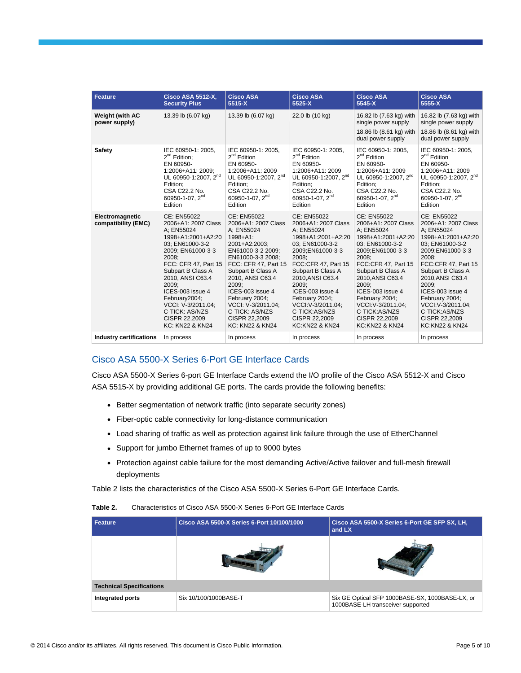| <b>Feature</b>                          | <b>Cisco ASA 5512-X,</b><br><b>Security Plus</b>                                                                                                                                                                                                                                                                              | <b>Cisco ASA</b><br>5515-X                                                                                                                                                                                                                                                                                                          | <b>Cisco ASA</b><br>5525-X                                                                                                                                                                                                                                                                                                 | <b>Cisco ASA</b><br>5545-X                                                                                                                                                                                                                                                                                                 | <b>Cisco ASA</b><br>5555-X                                                                                                                                                                                                                                                                                                 |
|-----------------------------------------|-------------------------------------------------------------------------------------------------------------------------------------------------------------------------------------------------------------------------------------------------------------------------------------------------------------------------------|-------------------------------------------------------------------------------------------------------------------------------------------------------------------------------------------------------------------------------------------------------------------------------------------------------------------------------------|----------------------------------------------------------------------------------------------------------------------------------------------------------------------------------------------------------------------------------------------------------------------------------------------------------------------------|----------------------------------------------------------------------------------------------------------------------------------------------------------------------------------------------------------------------------------------------------------------------------------------------------------------------------|----------------------------------------------------------------------------------------------------------------------------------------------------------------------------------------------------------------------------------------------------------------------------------------------------------------------------|
| <b>Weight (with AC</b><br>power supply) | 13.39 lb (6.07 kg)                                                                                                                                                                                                                                                                                                            | 13.39 lb (6.07 kg)                                                                                                                                                                                                                                                                                                                  | 22.0 lb (10 kg)                                                                                                                                                                                                                                                                                                            | 16.82 lb (7.63 kg) with<br>single power supply<br>18.86 lb (8.61 kg) with<br>dual power supply                                                                                                                                                                                                                             | 16.82 lb (7.63 kg) with<br>single power supply<br>18.86 lb (8.61 kg) with<br>dual power supply                                                                                                                                                                                                                             |
| Safety                                  | IEC 60950-1: 2005.<br>$2^{nd}$ Edition;<br>EN 60950-<br>1:2006+A11: 2009;<br>UL 60950-1:2007, 2 <sup>nd</sup><br>Edition:<br>CSA C22.2 No.<br>60950-1-07, $2^{nd}$<br>Edition                                                                                                                                                 | IEC 60950-1: 2005.<br>$2^{nd}$ Edition<br>EN 60950-<br>1:2006+A11: 2009<br>UL 60950-1:2007, 2 <sup>nd</sup><br>Edition:<br>CSA C22.2 No.<br>60950-1-07, 2 <sup>nd</sup><br>Edition                                                                                                                                                  | IEC 60950-1: 2005.<br>$2^{nd}$ Edition<br>EN 60950-<br>1:2006+A11: 2009<br>UL 60950-1:2007, 2 <sup>nd</sup><br>Edition:<br>CSA C22.2 No.<br>60950-1-07, 2 <sup>nd</sup><br>Edition                                                                                                                                         | IEC 60950-1: 2005.<br>$2^{nd}$ Edition<br>EN 60950-<br>1:2006+A11: 2009<br>UL 60950-1:2007, 2 <sup>nd</sup><br>Edition:<br>CSA C22.2 No.<br>60950-1-07, $2^{nd}$<br>Edition                                                                                                                                                | IEC 60950-1: 2005,<br>$2^{nd}$ Edition<br>EN 60950-<br>1:2006+A11: 2009<br>UL 60950-1:2007, 2 <sup>nd</sup><br>Edition:<br>CSA C22.2 No.<br>60950-1-07, $2^{nd}$<br>Edition                                                                                                                                                |
| Electromagnetic<br>compatibility (EMC)  | CE: EN55022<br>2006+A1: 2007 Class<br>A: EN55024<br>1998+A1:2001+A2:20<br>03: EN61000-3-2<br>2009; EN61000-3-3<br>2008:<br>FCC: CFR 47. Part 15<br>Subpart B Class A<br>2010, ANSI C63.4<br>2009:<br>ICES-003 issue 4<br>February2004;<br>VCCI: V-3/2011.04:<br>C-TICK: AS/NZS<br>CISPR 22,2009<br><b>KC: KN22 &amp; KN24</b> | CE: EN55022<br>2006+A1: 2007 Class<br>A: EN55024<br>$1998 + A1$ :<br>2001+A2:2003:<br>EN61000-3-2 2009;<br>EN61000-3-3 2008:<br>FCC: CFR 47. Part 15<br>Subpart B Class A<br>2010, ANSI C63.4<br>2009:<br>ICES-003 issue 4<br>February 2004;<br>VCCI: V-3/2011.04:<br>C-TICK: AS/NZS<br>CISPR 22,2009<br><b>KC: KN22 &amp; KN24</b> | CE: EN55022<br>2006+A1: 2007 Class<br>A: EN55024<br>1998+A1:2001+A2:20<br>03: EN61000-3-2<br>2009;EN61000-3-3<br>2008:<br>FCC:CFR 47. Part 15<br>Subpart B Class A<br>2010, ANSI C63.4<br>2009:<br>ICES-003 issue 4<br>February 2004;<br>VCCI: V-3/2011.04:<br>C-TICK:AS/NZS<br>CISPR 22,2009<br><b>KC:KN22 &amp; KN24</b> | CE: EN55022<br>2006+A1: 2007 Class<br>A: EN55024<br>1998+A1:2001+A2:20<br>03: EN61000-3-2<br>2009;EN61000-3-3<br>2008:<br>FCC:CFR 47. Part 15<br>Subpart B Class A<br>2010, ANSI C63.4<br>2009:<br>ICES-003 issue 4<br>February 2004;<br>VCCI: V-3/2011.04:<br>C-TICK:AS/NZS<br>CISPR 22,2009<br><b>KC:KN22 &amp; KN24</b> | CE: EN55022<br>2006+A1: 2007 Class<br>A: EN55024<br>1998+A1:2001+A2:20<br>03; EN61000-3-2<br>2009;EN61000-3-3<br>2008:<br>FCC:CFR 47. Part 15<br>Subpart B Class A<br>2010, ANSI C63.4<br>2009:<br>ICES-003 issue 4<br>February 2004;<br>VCCI: V-3/2011.04:<br>C-TICK:AS/NZS<br>CISPR 22,2009<br><b>KC:KN22 &amp; KN24</b> |
| <b>Industry certifications</b>          | In process                                                                                                                                                                                                                                                                                                                    | In process                                                                                                                                                                                                                                                                                                                          | In process                                                                                                                                                                                                                                                                                                                 | In process                                                                                                                                                                                                                                                                                                                 | In process                                                                                                                                                                                                                                                                                                                 |

## Cisco ASA 5500-X Series 6-Port GE Interface Cards

Cisco ASA 5500-X Series 6-port GE Interface Cards extend the I/O profile of the Cisco ASA 5512-X and Cisco ASA 5515-X by providing additional GE ports. The cards provide the following benefits:

- Better segmentation of network traffic (into separate security zones)
- Fiber-optic cable connectivity for long-distance communication
- Load sharing of traffic as well as protection against link failure through the use of EtherChannel
- Support for jumbo Ethernet frames of up to 9000 bytes
- Protection against cable failure for the most demanding Active/Active failover and full-mesh firewall deployments

Table 2 lists the characteristics of the Cisco ASA 5500-X Series 6-Port GE Interface Cards.

#### **Table 2.** Characteristics of Cisco ASA 5500-X Series 6-Port GE Interface Cards

| Feature                         | Cisco ASA 5500-X Series 6-Port 10/100/1000 | Cisco ASA 5500-X Series 6-Port GE SFP SX, LH,<br>and LX                              |
|---------------------------------|--------------------------------------------|--------------------------------------------------------------------------------------|
|                                 |                                            |                                                                                      |
| <b>Technical Specifications</b> |                                            |                                                                                      |
| Integrated ports                | Six 10/100/1000BASE-T                      | Six GE Optical SFP 1000BASE-SX, 1000BASE-LX, or<br>1000BASE-LH transceiver supported |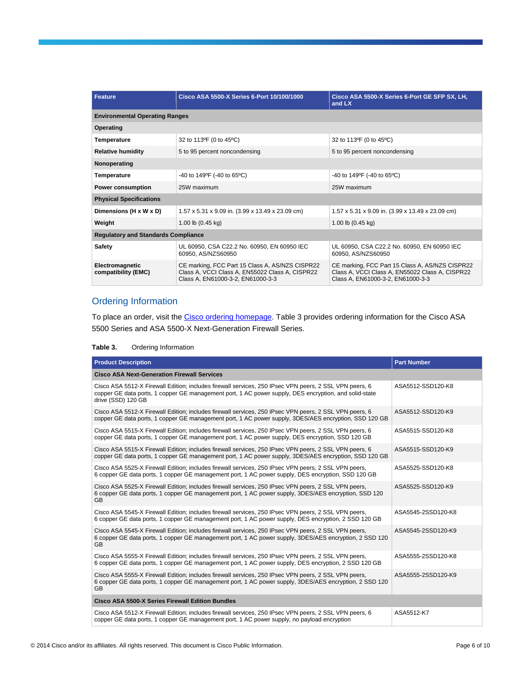| <b>Feature</b>                             | Cisco ASA 5500-X Series 6-Port 10/100/1000                                                                                              | Cisco ASA 5500-X Series 6-Port GE SFP SX, LH,<br>and LX                                                                                 |  |  |
|--------------------------------------------|-----------------------------------------------------------------------------------------------------------------------------------------|-----------------------------------------------------------------------------------------------------------------------------------------|--|--|
| <b>Environmental Operating Ranges</b>      |                                                                                                                                         |                                                                                                                                         |  |  |
| Operating                                  |                                                                                                                                         |                                                                                                                                         |  |  |
| <b>Temperature</b>                         | 32 to 113°F (0 to 45°C)                                                                                                                 | 32 to 113°F (0 to 45°C)                                                                                                                 |  |  |
| <b>Relative humidity</b>                   | 5 to 95 percent noncondensing                                                                                                           | 5 to 95 percent noncondensing                                                                                                           |  |  |
| Nonoperating                               |                                                                                                                                         |                                                                                                                                         |  |  |
| <b>Temperature</b>                         | -40 to 149°F (-40 to 65°C)                                                                                                              | -40 to 149°F (-40 to 65°C)                                                                                                              |  |  |
| <b>Power consumption</b>                   | 25W maximum                                                                                                                             | 25W maximum                                                                                                                             |  |  |
| <b>Physical Specifications</b>             |                                                                                                                                         |                                                                                                                                         |  |  |
| Dimensions (H x W x D)                     | 1.57 x 5.31 x 9.09 in. (3.99 x 13.49 x 23.09 cm)                                                                                        | 1.57 x 5.31 x 9.09 in. (3.99 x 13.49 x 23.09 cm)                                                                                        |  |  |
| Weight                                     | 1.00 lb $(0.45 \text{ kg})$                                                                                                             | 1.00 lb $(0.45 \text{ kg})$                                                                                                             |  |  |
| <b>Regulatory and Standards Compliance</b> |                                                                                                                                         |                                                                                                                                         |  |  |
| Safety                                     | UL 60950, CSA C22.2 No. 60950, EN 60950 IEC<br>60950, AS/NZS60950                                                                       | UL 60950, CSA C22.2 No. 60950, EN 60950 IEC<br>60950, AS/NZS60950                                                                       |  |  |
| Electromagnetic<br>compatibility (EMC)     | CE marking, FCC Part 15 Class A, AS/NZS CISPR22<br>Class A, VCCI Class A, EN55022 Class A, CISPR22<br>Class A, EN61000-3-2, EN61000-3-3 | CE marking, FCC Part 15 Class A, AS/NZS CISPR22<br>Class A, VCCI Class A, EN55022 Class A, CISPR22<br>Class A, EN61000-3-2, EN61000-3-3 |  |  |

## Ordering Information

To place an order, visit th[e Cisco ordering homepage.](http://www.cisco.com/en/US/ordering/or13/or8/order_customer_help_how_to_order_listing.html) Table 3 provides ordering information for the Cisco ASA 5500 Series and ASA 5500-X Next-Generation Firewall Series.

#### **Table 3.** Ordering Information

| <b>Product Description</b>                                                                                                                                                                                                            | <b>Part Number</b> |  |  |
|---------------------------------------------------------------------------------------------------------------------------------------------------------------------------------------------------------------------------------------|--------------------|--|--|
| <b>Cisco ASA Next-Generation Firewall Services</b>                                                                                                                                                                                    |                    |  |  |
| Cisco ASA 5512-X Firewall Edition; includes firewall services, 250 IPsec VPN peers, 2 SSL VPN peers, 6<br>copper GE data ports, 1 copper GE management port, 1 AC power supply, DES encryption, and solid-state<br>drive (SSD) 120 GB | ASA5512-SSD120-K8  |  |  |
| Cisco ASA 5512-X Firewall Edition; includes firewall services, 250 IPsec VPN peers, 2 SSL VPN peers, 6<br>copper GE data ports, 1 copper GE management port, 1 AC power supply, 3DES/AES encryption, SSD 120 GB                       | ASA5512-SSD120-K9  |  |  |
| Cisco ASA 5515-X Firewall Edition; includes firewall services, 250 IPsec VPN peers, 2 SSL VPN peers, 6<br>copper GE data ports, 1 copper GE management port, 1 AC power supply, DES encryption, SSD 120 GB                            | ASA5515-SSD120-K8  |  |  |
| Cisco ASA 5515-X Firewall Edition; includes firewall services, 250 IPsec VPN peers, 2 SSL VPN peers, 6<br>copper GE data ports, 1 copper GE management port, 1 AC power supply, 3DES/AES encryption, SSD 120 GB                       | ASA5515-SSD120-K9  |  |  |
| Cisco ASA 5525-X Firewall Edition; includes firewall services, 250 IPsec VPN peers, 2 SSL VPN peers,<br>6 copper GE data ports, 1 copper GE management port, 1 AC power supply, DES encryption, SSD 120 GB                            | ASA5525-SSD120-K8  |  |  |
| Cisco ASA 5525-X Firewall Edition; includes firewall services, 250 IPsec VPN peers, 2 SSL VPN peers,<br>6 copper GE data ports, 1 copper GE management port, 1 AC power supply, 3DES/AES encryption, SSD 120<br><b>GB</b>             | ASA5525-SSD120-K9  |  |  |
| Cisco ASA 5545-X Firewall Edition; includes firewall services, 250 IPsec VPN peers, 2 SSL VPN peers,<br>6 copper GE data ports, 1 copper GE management port, 1 AC power supply, DES encryption, 2 SSD 120 GB                          | ASA5545-2SSD120-K8 |  |  |
| Cisco ASA 5545-X Firewall Edition; includes firewall services, 250 IPsec VPN peers, 2 SSL VPN peers,<br>6 copper GE data ports, 1 copper GE management port, 1 AC power supply, 3DES/AES encryption, 2 SSD 120<br><b>GB</b>           | ASA5545-2SSD120-K9 |  |  |
| Cisco ASA 5555-X Firewall Edition; includes firewall services, 250 IPsec VPN peers, 2 SSL VPN peers,<br>6 copper GE data ports, 1 copper GE management port, 1 AC power supply, DES encryption, 2 SSD 120 GB                          | ASA5555-2SSD120-K8 |  |  |
| Cisco ASA 5555-X Firewall Edition; includes firewall services, 250 IPsec VPN peers, 2 SSL VPN peers,<br>6 copper GE data ports, 1 copper GE management port, 1 AC power supply, 3DES/AES encryption, 2 SSD 120<br><b>GB</b>           | ASA5555-2SSD120-K9 |  |  |
| <b>Cisco ASA 5500-X Series Firewall Edition Bundles</b>                                                                                                                                                                               |                    |  |  |
| Cisco ASA 5512-X Firewall Edition; includes firewall services, 250 IPsec VPN peers, 2 SSL VPN peers, 6<br>copper GE data ports, 1 copper GE management port, 1 AC power supply, no payload encryption                                 | ASA5512-K7         |  |  |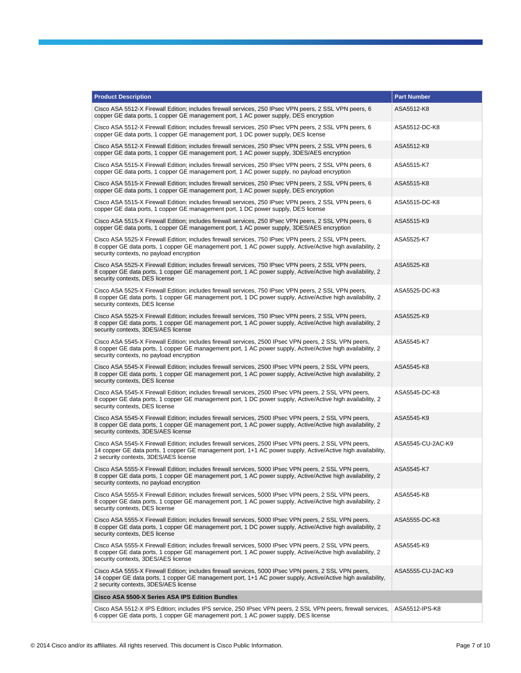| <b>Product Description</b>                                                                                                                                                                                                                                      | <b>Part Number</b> |
|-----------------------------------------------------------------------------------------------------------------------------------------------------------------------------------------------------------------------------------------------------------------|--------------------|
| Cisco ASA 5512-X Firewall Edition; includes firewall services, 250 IPsec VPN peers, 2 SSL VPN peers, 6<br>copper GE data ports, 1 copper GE management port, 1 AC power supply, DES encryption                                                                  | ASA5512-K8         |
| Cisco ASA 5512-X Firewall Edition; includes firewall services, 250 IPsec VPN peers, 2 SSL VPN peers, 6<br>copper GE data ports, 1 copper GE management port, 1 DC power supply, DES license                                                                     | ASA5512-DC-K8      |
| Cisco ASA 5512-X Firewall Edition; includes firewall services, 250 IPsec VPN peers, 2 SSL VPN peers, 6<br>copper GE data ports, 1 copper GE management port, 1 AC power supply, 3DES/AES encryption                                                             | ASA5512-K9         |
| Cisco ASA 5515-X Firewall Edition; includes firewall services, 250 IPsec VPN peers, 2 SSL VPN peers, 6<br>copper GE data ports, 1 copper GE management port, 1 AC power supply, no payload encryption                                                           | ASA5515-K7         |
| Cisco ASA 5515-X Firewall Edition; includes firewall services, 250 IPsec VPN peers, 2 SSL VPN peers, 6<br>copper GE data ports, 1 copper GE management port, 1 AC power supply, DES encryption                                                                  | ASA5515-K8         |
| Cisco ASA 5515-X Firewall Edition; includes firewall services, 250 IPsec VPN peers, 2 SSL VPN peers, 6<br>copper GE data ports, 1 copper GE management port, 1 DC power supply, DES license                                                                     | ASA5515-DC-K8      |
| Cisco ASA 5515-X Firewall Edition; includes firewall services, 250 IPsec VPN peers, 2 SSL VPN peers, 6<br>copper GE data ports, 1 copper GE management port, 1 AC power supply, 3DES/AES encryption                                                             | ASA5515-K9         |
| Cisco ASA 5525-X Firewall Edition; includes firewall services, 750 IPsec VPN peers, 2 SSL VPN peers,<br>8 copper GE data ports, 1 copper GE management port, 1 AC power supply, Active/Active high availability, 2<br>security contexts, no payload encryption  | ASA5525-K7         |
| Cisco ASA 5525-X Firewall Edition; includes firewall services, 750 IPsec VPN peers, 2 SSL VPN peers,<br>8 copper GE data ports, 1 copper GE management port, 1 AC power supply, Active/Active high availability, 2<br>security contexts, DES license            | ASA5525-K8         |
| Cisco ASA 5525-X Firewall Edition; includes firewall services, 750 IPsec VPN peers, 2 SSL VPN peers,<br>8 copper GE data ports, 1 copper GE management port, 1 DC power supply, Active/Active high availability, 2<br>security contexts, DES license            | ASA5525-DC-K8      |
| Cisco ASA 5525-X Firewall Edition; includes firewall services, 750 IPsec VPN peers, 2 SSL VPN peers,<br>8 copper GE data ports, 1 copper GE management port, 1 AC power supply, Active/Active high availability, 2<br>security contexts, 3DES/AES license       | ASA5525-K9         |
| Cisco ASA 5545-X Firewall Edition; includes firewall services, 2500 IPsec VPN peers, 2 SSL VPN peers,<br>8 copper GE data ports, 1 copper GE management port, 1 AC power supply, Active/Active high availability, 2<br>security contexts, no payload encryption | ASA5545-K7         |
| Cisco ASA 5545-X Firewall Edition; includes firewall services, 2500 IPsec VPN peers, 2 SSL VPN peers,<br>8 copper GE data ports, 1 copper GE management port, 1 AC power supply, Active/Active high availability, 2<br>security contexts, DES license           | ASA5545-K8         |
| Cisco ASA 5545-X Firewall Edition; includes firewall services, 2500 IPsec VPN peers, 2 SSL VPN peers,<br>8 copper GE data ports, 1 copper GE management port, 1 DC power supply, Active/Active high availability, 2<br>security contexts, DES license           | ASA5545-DC-K8      |
| Cisco ASA 5545-X Firewall Edition; includes firewall services, 2500 IPsec VPN peers, 2 SSL VPN peers,<br>8 copper GE data ports, 1 copper GE management port, 1 AC power supply, Active/Active high availability, 2<br>security contexts, 3DES/AES license      | ASA5545-K9         |
| Cisco ASA 5545-X Firewall Edition; includes firewall services, 2500 IPsec VPN peers, 2 SSL VPN peers,<br>14 copper GE data ports, 1 copper GE management port, 1+1 AC power supply, Active/Active high availability,<br>2 security contexts, 3DES/AES license   | ASA5545-CU-2AC-K9  |
| Cisco ASA 5555-X Firewall Edition; includes firewall services, 5000 IPsec VPN peers, 2 SSL VPN peers,<br>8 copper GE data ports, 1 copper GE management port, 1 AC power supply, Active/Active high availability, 2<br>security contexts, no payload encryption | ASA5545-K7         |
| Cisco ASA 5555-X Firewall Edition; includes firewall services, 5000 IPsec VPN peers, 2 SSL VPN peers,<br>8 copper GE data ports, 1 copper GE management port, 1 AC power supply, Active/Active high availability, 2<br>security contexts, DES license           | ASA5545-K8         |
| Cisco ASA 5555-X Firewall Edition; includes firewall services, 5000 IPsec VPN peers, 2 SSL VPN peers,<br>8 copper GE data ports, 1 copper GE management port, 1 DC power supply, Active/Active high availability, 2<br>security contexts, DES license           | ASA5555-DC-K8      |
| Cisco ASA 5555-X Firewall Edition; includes firewall services, 5000 IPsec VPN peers, 2 SSL VPN peers,<br>8 copper GE data ports, 1 copper GE management port, 1 AC power supply, Active/Active high availability, 2<br>security contexts, 3DES/AES license      | ASA5545-K9         |
| Cisco ASA 5555-X Firewall Edition; includes firewall services, 5000 IPsec VPN peers, 2 SSL VPN peers,<br>14 copper GE data ports, 1 copper GE management port, 1+1 AC power supply, Active/Active high availability,<br>2 security contexts, 3DES/AES license   | ASA5555-CU-2AC-K9  |
| Cisco ASA 5500-X Series ASA IPS Edition Bundles                                                                                                                                                                                                                 |                    |
| Cisco ASA 5512-X IPS Edition; includes IPS service, 250 IPsec VPN peers, 2 SSL VPN peers, firewall services,<br>6 copper GE data ports, 1 copper GE management port, 1 AC power supply, DES license                                                             | ASA5512-IPS-K8     |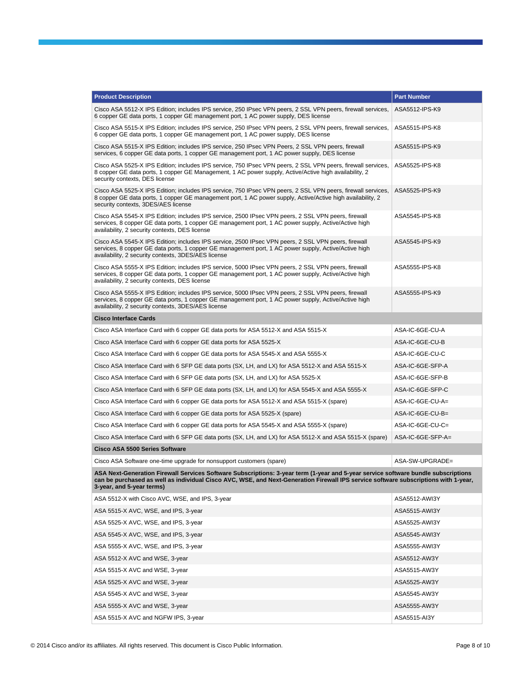| <b>Product Description</b>                                                                                                                                                                                                                                                                             | <b>Part Number</b> |
|--------------------------------------------------------------------------------------------------------------------------------------------------------------------------------------------------------------------------------------------------------------------------------------------------------|--------------------|
| Cisco ASA 5512-X IPS Edition; includes IPS service, 250 IPsec VPN peers, 2 SSL VPN peers, firewall services,<br>6 copper GE data ports, 1 copper GE management port, 1 AC power supply, DES license                                                                                                    | ASA5512-IPS-K9     |
| Cisco ASA 5515-X IPS Edition; includes IPS service, 250 IPsec VPN peers, 2 SSL VPN peers, firewall services,<br>6 copper GE data ports, 1 copper GE management port, 1 AC power supply, DES license                                                                                                    | ASA5515-IPS-K8     |
| Cisco ASA 5515-X IPS Edition; includes IPS service, 250 IPsec VPN Peers, 2 SSL VPN peers, firewall<br>services, 6 copper GE data ports, 1 copper GE management port, 1 AC power supply, DES license                                                                                                    | ASA5515-IPS-K9     |
| Cisco ASA 5525-X IPS Edition; includes IPS service, 750 IPsec VPN peers, 2 SSL VPN peers, firewall services,<br>8 copper GE data ports, 1 copper GE Management, 1 AC power supply, Active/Active high availability, 2<br>security contexts, DES license                                                | ASA5525-IPS-K8     |
| Cisco ASA 5525-X IPS Edition; includes IPS service, 750 IPsec VPN peers, 2 SSL VPN peers, firewall services,<br>8 copper GE data ports, 1 copper GE management port, 1 AC power supply, Active/Active high availability, 2<br>security contexts, 3DES/AES license                                      | ASA5525-IPS-K9     |
| Cisco ASA 5545-X IPS Edition; includes IPS service, 2500 IPsec VPN peers, 2 SSL VPN peers, firewall<br>services, 8 copper GE data ports, 1 copper GE management port, 1 AC power supply, Active/Active high<br>availability, 2 security contexts, DES license                                          | ASA5545-IPS-K8     |
| Cisco ASA 5545-X IPS Edition; includes IPS service, 2500 IPsec VPN peers, 2 SSL VPN peers, firewall<br>services, 8 copper GE data ports, 1 copper GE management port, 1 AC power supply, Active/Active high<br>availability, 2 security contexts, 3DES/AES license                                     | ASA5545-IPS-K9     |
| Cisco ASA 5555-X IPS Edition; includes IPS service, 5000 IPsec VPN peers, 2 SSL VPN peers, firewall<br>services, 8 copper GE data ports, 1 copper GE management port, 1 AC power supply, Active/Active high<br>availability, 2 security contexts, DES license                                          | ASA5555-IPS-K8     |
| Cisco ASA 5555-X IPS Edition; includes IPS service, 5000 IPsec VPN peers, 2 SSL VPN peers, firewall<br>services, 8 copper GE data ports, 1 copper GE management port, 1 AC power supply, Active/Active high<br>availability, 2 security contexts, 3DES/AES license                                     | ASA5555-IPS-K9     |
| <b>Cisco Interface Cards</b>                                                                                                                                                                                                                                                                           |                    |
| Cisco ASA Interface Card with 6 copper GE data ports for ASA 5512-X and ASA 5515-X                                                                                                                                                                                                                     | ASA-IC-6GE-CU-A    |
| Cisco ASA Interface Card with 6 copper GE data ports for ASA 5525-X                                                                                                                                                                                                                                    | ASA-IC-6GE-CU-B    |
| Cisco ASA Interface Card with 6 copper GE data ports for ASA 5545-X and ASA 5555-X                                                                                                                                                                                                                     | ASA-IC-6GE-CU-C    |
| Cisco ASA Interface Card with 6 SFP GE data ports (SX, LH, and LX) for ASA 5512-X and ASA 5515-X                                                                                                                                                                                                       | ASA-IC-6GE-SFP-A   |
| Cisco ASA Interface Card with 6 SFP GE data ports (SX, LH, and LX) for ASA 5525-X                                                                                                                                                                                                                      | ASA-IC-6GE-SFP-B   |
| Cisco ASA Interface Card with 6 SFP GE data ports (SX, LH, and LX) for ASA 5545-X and ASA 5555-X                                                                                                                                                                                                       | ASA-IC-6GE-SFP-C   |
| Cisco ASA Interface Card with 6 copper GE data ports for ASA 5512-X and ASA 5515-X (spare)                                                                                                                                                                                                             | ASA-IC-6GE-CU-A=   |
| Cisco ASA Interface Card with 6 copper GE data ports for ASA 5525-X (spare)                                                                                                                                                                                                                            | ASA-IC-6GE-CU-B=   |
| Cisco ASA Interface Card with 6 copper GE data ports for ASA 5545-X and ASA 5555-X (spare)                                                                                                                                                                                                             | ASA-IC-6GE-CU-C=   |
| Cisco ASA Interface Card with 6 SFP GE data ports (SX, LH, and LX) for ASA 5512-X and ASA 5515-X (spare)                                                                                                                                                                                               | ASA-IC-6GE-SFP-A=  |
| Cisco ASA 5500 Series Software                                                                                                                                                                                                                                                                         |                    |
| Cisco ASA Software one-time upgrade for nonsupport customers (spare)                                                                                                                                                                                                                                   | ASA-SW-UPGRADE=    |
| ASA Next-Generation Firewall Services Software Subscriptions: 3-year term (1-year and 5-year service software bundle subscriptions<br>can be purchased as well as individual Cisco AVC, WSE, and Next-Generation Firewall IPS service software subscriptions with 1-year,<br>3-year, and 5-year terms) |                    |
| ASA 5512-X with Cisco AVC, WSE, and IPS, 3-year                                                                                                                                                                                                                                                        | ASA5512-AWI3Y      |
| ASA 5515-X AVC, WSE, and IPS, 3-year                                                                                                                                                                                                                                                                   | ASA5515-AWI3Y      |
| ASA 5525-X AVC, WSE, and IPS, 3-year                                                                                                                                                                                                                                                                   | ASA5525-AWI3Y      |
| ASA 5545-X AVC, WSE, and IPS, 3-year                                                                                                                                                                                                                                                                   | ASA5545-AWI3Y      |
| ASA 5555-X AVC, WSE, and IPS, 3-year                                                                                                                                                                                                                                                                   | ASA5555-AWI3Y      |
| ASA 5512-X AVC and WSE, 3-year                                                                                                                                                                                                                                                                         | ASA5512-AW3Y       |
| ASA 5515-X AVC and WSE, 3-year                                                                                                                                                                                                                                                                         | ASA5515-AW3Y       |
| ASA 5525-X AVC and WSE, 3-year                                                                                                                                                                                                                                                                         | ASA5525-AW3Y       |
| ASA 5545-X AVC and WSE, 3-year                                                                                                                                                                                                                                                                         | ASA5545-AW3Y       |
| ASA 5555-X AVC and WSE, 3-year                                                                                                                                                                                                                                                                         | ASA5555-AW3Y       |
| ASA 5515-X AVC and NGFW IPS, 3-year                                                                                                                                                                                                                                                                    | ASA5515-AI3Y       |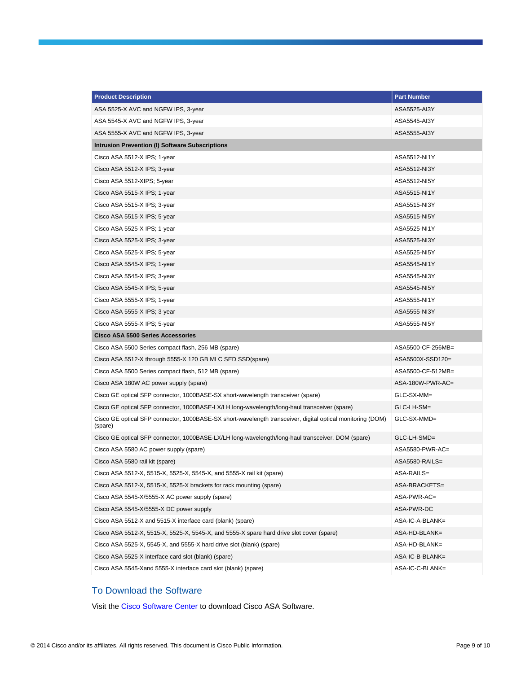| <b>Product Description</b>                                                                                            | <b>Part Number</b> |
|-----------------------------------------------------------------------------------------------------------------------|--------------------|
| ASA 5525-X AVC and NGFW IPS, 3-year                                                                                   | ASA5525-AI3Y       |
| ASA 5545-X AVC and NGFW IPS, 3-year                                                                                   | ASA5545-AI3Y       |
| ASA 5555-X AVC and NGFW IPS, 3-year                                                                                   | ASA5555-AI3Y       |
| Intrusion Prevention (I) Software Subscriptions                                                                       |                    |
| Cisco ASA 5512-X IPS; 1-year                                                                                          | ASA5512-NI1Y       |
| Cisco ASA 5512-X IPS; 3-year                                                                                          | ASA5512-NI3Y       |
| Cisco ASA 5512-XIPS; 5-year                                                                                           | ASA5512-NI5Y       |
| Cisco ASA 5515-X IPS; 1-year                                                                                          | ASA5515-NI1Y       |
| Cisco ASA 5515-X IPS; 3-year                                                                                          | ASA5515-NI3Y       |
| Cisco ASA 5515-X IPS; 5-year                                                                                          | ASA5515-NI5Y       |
| Cisco ASA 5525-X IPS; 1-year                                                                                          | ASA5525-NI1Y       |
| Cisco ASA 5525-X IPS; 3-year                                                                                          | ASA5525-NI3Y       |
| Cisco ASA 5525-X IPS; 5-year                                                                                          | ASA5525-NI5Y       |
| Cisco ASA 5545-X IPS; 1-year                                                                                          | ASA5545-NI1Y       |
| Cisco ASA 5545-X IPS; 3-year                                                                                          | ASA5545-NI3Y       |
| Cisco ASA 5545-X IPS; 5-year                                                                                          | ASA5545-NI5Y       |
| Cisco ASA 5555-X IPS; 1-year                                                                                          | ASA5555-NI1Y       |
| Cisco ASA 5555-X IPS; 3-year                                                                                          | ASA5555-NI3Y       |
| Cisco ASA 5555-X IPS; 5-year                                                                                          | ASA5555-NI5Y       |
| <b>Cisco ASA 5500 Series Accessories</b>                                                                              |                    |
| Cisco ASA 5500 Series compact flash, 256 MB (spare)                                                                   | ASA5500-CF-256MB=  |
| Cisco ASA 5512-X through 5555-X 120 GB MLC SED SSD(spare)                                                             | ASA5500X-SSD120=   |
| Cisco ASA 5500 Series compact flash, 512 MB (spare)                                                                   | ASA5500-CF-512MB=  |
| Cisco ASA 180W AC power supply (spare)                                                                                | ASA-180W-PWR-AC=   |
| Cisco GE optical SFP connector, 1000BASE-SX short-wavelength transceiver (spare)                                      | GLC-SX-MM=         |
| Cisco GE optical SFP connector, 1000BASE-LX/LH long-wavelength/long-haul transceiver (spare)                          | GLC-LH-SM=         |
| Cisco GE optical SFP connector, 1000BASE-SX short-wavelength transceiver, digital optical monitoring (DOM)<br>(spare) | GLC-SX-MMD=        |
| Cisco GE optical SFP connector, 1000BASE-LX/LH long-wavelength/long-haul transceiver, DOM (spare)                     | GLC-LH-SMD=        |
| Cisco ASA 5580 AC power supply (spare)                                                                                | ASA5580-PWR-AC=    |
| Cisco ASA 5580 rail kit (spare)                                                                                       | ASA5580-RAILS=     |
| Cisco ASA 5512-X, 5515-X, 5525-X, 5545-X, and 5555-X rail kit (spare)                                                 | ASA-RAILS=         |
| Cisco ASA 5512-X, 5515-X, 5525-X brackets for rack mounting (spare)                                                   | ASA-BRACKETS=      |
| Cisco ASA 5545-X/5555-X AC power supply (spare)                                                                       | ASA-PWR-AC=        |
| Cisco ASA 5545-X/5555-X DC power supply                                                                               | ASA-PWR-DC         |
| Cisco ASA 5512-X and 5515-X interface card (blank) (spare)                                                            | ASA-IC-A-BLANK=    |
| Cisco ASA 5512-X, 5515-X, 5525-X, 5545-X, and 5555-X spare hard drive slot cover (spare)                              | ASA-HD-BLANK=      |
| Cisco ASA 5525-X, 5545-X, and 5555-X hard drive slot (blank) (spare)                                                  | ASA-HD-BLANK=      |
| Cisco ASA 5525-X interface card slot (blank) (spare)                                                                  | ASA-IC-B-BLANK=    |
| Cisco ASA 5545-Xand 5555-X interface card slot (blank) (spare)                                                        | ASA-IC-C-BLANK=    |

## To Download the Software

Visit th[e Cisco Software Center](http://www.cisco.com/cisco/web/support/index.html) to download Cisco ASA Software.